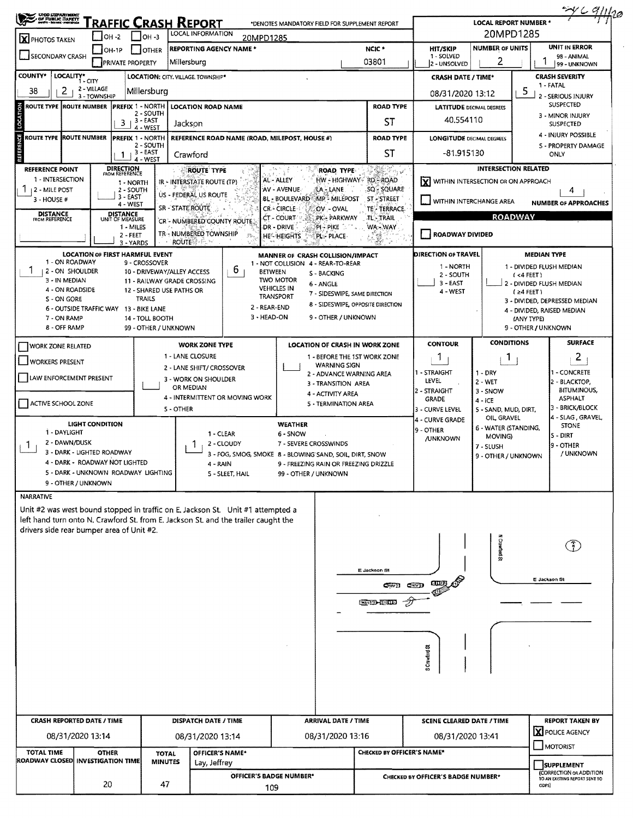|                                                                                              |                             |                                                 |                  |                                                                                    |                                                                                        |                                               |                                      |                                                   |                                    | <u>= Y C 9/11/20</u>                                                          |  |  |  |
|----------------------------------------------------------------------------------------------|-----------------------------|-------------------------------------------------|------------------|------------------------------------------------------------------------------------|----------------------------------------------------------------------------------------|-----------------------------------------------|--------------------------------------|---------------------------------------------------|------------------------------------|-------------------------------------------------------------------------------|--|--|--|
| <b>CHOOLIEPARTMENT</b><br>- Of PUBLIC DATETT<br>- North - Monet Program                      |                             | RAFFIC CRASH REPORT                             |                  |                                                                                    | *DENOTES MANDATORY FIELD FOR SUPPLEMENT REPORT                                         |                                               |                                      | <b>LOCAL REPORT NUMBER '</b>                      |                                    |                                                                               |  |  |  |
| <b>X</b> PHOTOS TAKEN                                                                        | $1$ OH -2                   | $1$ OH -3                                       |                  | LOCAL INFORMATION                                                                  | 20MPD1285                                                                              | NCIC <sup>+</sup>                             | 20MPD1285<br>UNIT IN ERROR           |                                                   |                                    |                                                                               |  |  |  |
| SECONDARY CRASH                                                                              | $ OH-1P $                   | OTHER<br><b>PRIVATE PROPERTY</b>                |                  | <b>REPORTING AGENCY NAME *</b><br>Millersburg                                      | 03801                                                                                  | <b>HIT/SKIP</b><br>1 - SOLVED<br>2 - UNSOLVED | <b>NUMBER OF UNITS</b><br>2          | 98 - ANIMAL<br>99 - UNKNOWN                       |                                    |                                                                               |  |  |  |
| <b>COUNTY*</b><br>LOCALITY*                                                                  | 1 - CITY                    |                                                 |                  | LOCATION: CITY. VILLAGE. TOWNSHIP*                                                 |                                                                                        |                                               | <b>CRASH DATE / TIME*</b>            |                                                   |                                    | <b>CRASH SEVERITY</b>                                                         |  |  |  |
| 38<br>2                                                                                      | 2 - VILLAGE<br>3 - TOWNSHIP | Millersburg                                     |                  |                                                                                    |                                                                                        | <b>ROAD TYPE</b>                              | 08/31/2020 13:12                     |                                                   | 5                                  | 1 - FATAL<br>2 - SERIOUS INJURY                                               |  |  |  |
| ROUTE TYPE  ROUTE NUMBER  PREFIX 1 - NORTH                                                   |                             | 2 - SOUTH                                       |                  | <b>LOCATION ROAD NAME</b>                                                          |                                                                                        | <b>LATITUDE</b> DECIMAL DEGREES               |                                      |                                                   | SUSPECTED<br>3 - MINOR INJURY      |                                                                               |  |  |  |
|                                                                                              |                             | $3 + 3 - EAST$<br>4 - WEST                      |                  | Jackson                                                                            |                                                                                        | ST                                            | 40.554110                            |                                                   |                                    | <b>SUSPECTED</b>                                                              |  |  |  |
| <b>REFERENCE</b><br><b>ROUTE TYPE ROUTE NUMBER</b><br><b>PREFIX 1 - NORTH</b><br>2 - SOUTH   |                             |                                                 |                  |                                                                                    | REFERENCE ROAD NAME (ROAD, MILEPOST, HOUSE #)                                          | <b>LONGITUDE DECIMAL DEGREES</b>              |                                      | 4 - INJURY POSSIBLE<br><b>S - PROPERTY DAMAGE</b> |                                    |                                                                               |  |  |  |
|                                                                                              |                             | 3 - EAST<br>1<br>4 - WEST                       |                  | Crawford                                                                           |                                                                                        | ST                                            | -81.915130                           |                                                   | ONLY                               |                                                                               |  |  |  |
| REFERENCE POINT<br>1 - INTERSECTION                                                          |                             | <b>DIRECTION</b><br>FROM REFERENCE              |                  | <b>ROUTE TYPE</b>                                                                  | ROAD TYPE-<br>AL - ALLEY<br>HW - HIGHWAY RD - ROAD                                     |                                               | X WITHIN INTERSECTION OR ON APPROACH |                                                   | <b>INTERSECTION RELATED</b>        |                                                                               |  |  |  |
| 12 - MILE POST                                                                               |                             | 1 - NORTH<br>2 - SOUTH<br>3 - EAST              |                  | IR - INTERSTATE ROUTE (TP)<br>US - FEDERAL US ROUTE                                | AV - AVENUE.<br>LA - LANE                                                              | SQ SQUARE                                     |                                      |                                                   |                                    | 4                                                                             |  |  |  |
| 3 - HOUSE #                                                                                  |                             | 4 - WEST                                        | SR - STATE ROUTE |                                                                                    | BL - BOULEVARD<br><b>MP - MILEPOST</b><br>CR-CIRCLE<br>OV - OVAL                       | ST - STREET<br>TE - TERRACE.                  | <b>WITHIN INTERCHANGE AREA</b>       |                                                   |                                    | <b>NUMBER OF APPROACHES</b>                                                   |  |  |  |
| <b>DISTANCE</b><br><b>FROM REFERENCE</b>                                                     |                             | <b>DISTANCE</b><br>UNIT OF MEASURE<br>1 - MILES |                  | CR - NUMBERED COUNTY ROUTE                                                         | CT - COURT<br>PK - PARKWAY<br>DR - DRIVE<br>PI-PIKE                                    | <b>TL-TRAIL</b><br>WA-WAY                     |                                      |                                                   | <b>ROADWAY</b>                     |                                                                               |  |  |  |
|                                                                                              |                             | $2 - FEET$<br>3 - YARDS                         | <b>ROUTE</b>     | TR - NUMBERED TOWNSHIP                                                             | <b>HE-HEIGHTS</b><br><b>PL - PLACE</b>                                                 |                                               | <b>ROADWAY DIVIDED</b>               |                                                   |                                    |                                                                               |  |  |  |
|                                                                                              |                             | <b>LOCATION OF FIRST HARMFUL EVENT</b>          |                  |                                                                                    | MANNER OF CRASH COLLISION/IMPACT                                                       |                                               | <b>DIRECTION OF TRAVEL</b>           |                                                   | <b>MEDIAN TYPE</b>                 |                                                                               |  |  |  |
| 1 - ON ROADWAY<br>1<br>1 2 - ON SHOULDER                                                     |                             | 9 - CROSSOVER<br>10 - DRIVEWAY/ALLEY ACCESS     |                  | b                                                                                  | 1 - NOT COLLISION 4 - REAR-TO-REAR<br><b>BETWEEN</b><br><b>S-BACKING</b>               |                                               | 1 - NORTH                            |                                                   | 1 - DIVIDED FLUSH MEDIAN           |                                                                               |  |  |  |
| 3 - IN MEDIAN                                                                                |                             | 11 - RAILWAY GRADE CROSSING                     |                  |                                                                                    | <b>TWO MOTOR</b><br>6 - ANGLE<br><b>VEHICLES IN</b>                                    |                                               | 2 - SOUTH<br>3 - EAST                |                                                   | (4FEE)<br>2 - DIVIDED FLUSH MEDIAN |                                                                               |  |  |  |
| 4 - ON ROADSIDE<br>S - ON GORE                                                               |                             | 12 - SHARED USE PATHS OR<br><b>TRAILS</b>       |                  |                                                                                    | 7 - SIDESWIPE, SAME DIRECTION<br><b>TRANSPORT</b><br>8 - SIDESWIPE, OPPOSITE DIRECTION |                                               | 4 - WEST                             |                                                   | $(24$ FEET)                        | 3 - DIVIDED, DEPRESSED MEDIAN                                                 |  |  |  |
| 6 - OUTSIDE TRAFFIC WAY 13 - BIKE LANE<br>7 - ON RAMP                                        |                             | 14 - TOLL BOOTH                                 |                  |                                                                                    | 2 - REAR-END<br>3 - HEAD-ON<br>9 - OTHER / UNKNOWN                                     |                                               |                                      |                                                   | (ANY TYPE)                         | 4 - DIVIDED, RAISED MEDIAN                                                    |  |  |  |
| <b>8 - OFF RAMP</b>                                                                          |                             | 99 - OTHER / UNKNOWN                            |                  |                                                                                    |                                                                                        |                                               |                                      |                                                   | 9 - OTHER / UNKNOWN                |                                                                               |  |  |  |
| WORK ZONE RELATED                                                                            |                             |                                                 |                  | <b>WORK ZONE TYPE</b>                                                              | LOCATION OF CRASH IN WORK ZONE                                                         |                                               | <b>CONTOUR</b>                       | <b>CONDITIONS</b>                                 |                                    | <b>SURFACE</b>                                                                |  |  |  |
| WORKERS PRESENT                                                                              |                             |                                                 |                  | 1 - LANE CLOSURE                                                                   | 1 - BEFORE THE 1ST WORK ZONE<br><b>WARNING SIGN</b>                                    |                                               | П.                                   | 1                                                 |                                    | $\overline{2}$                                                                |  |  |  |
| LAW ENFORCEMENT PRESENT                                                                      |                             |                                                 |                  | 2 - LANE SHIFT/ CROSSOVER<br>3 - WORK ON SHOULDER                                  | 2 - ADVANCE WARNING AREA                                                               |                                               | 1 - STRAIGHT<br>LEVEL                | $1 - DRY$<br>2 - WET                              |                                    | 1 - CONCRETE<br>2 - BLACKTOP,                                                 |  |  |  |
|                                                                                              |                             |                                                 |                  | OR MEDIAN<br>4 - INTERMITTENT OR MOVING WORK                                       | 3 - TRANSITION AREA<br>4 - ACTIVITY AREA                                               |                                               | <b>2 - STRAIGHT</b>                  | 3 - SNOW                                          |                                    | <b>BITUMINOUS,</b>                                                            |  |  |  |
| ACTIVE SCHOOL ZONE                                                                           |                             |                                                 | 5 - OTHER        |                                                                                    | 5 - TERMINATION AREA                                                                   |                                               | <b>GRADE</b><br>3 - CURVE LEVEL      | $4 - iCE$<br>5 - SAND, MUD, DIRT,                 |                                    | <b>ASPHALT</b><br>3 - BRICK/BLOCK                                             |  |  |  |
|                                                                                              | <b>LIGHT CONDITION</b>      |                                                 |                  |                                                                                    | <b>WEATHER</b>                                                                         |                                               | 4 - CURVE GRADE                      | OIL, GRAVEL<br>6 - WATER (STANDING,               |                                    | 4 - SLAG, GRAVEL<br><b>STONE</b>                                              |  |  |  |
| 1 - DAYLIGHT<br>2 - DAWN/DUSK                                                                |                             |                                                 |                  | 1 - CLEAR<br>2 - CLOUDY                                                            | 6 - SNOW<br>7 - SEVERE CROSSWINDS                                                      |                                               | 9 - OTHER<br><b>/UNKNOWN</b>         | MOVING)                                           |                                    | $5 - DIRT$                                                                    |  |  |  |
| Т.<br>3 - DARK - LIGHTED ROADWAY                                                             |                             |                                                 |                  |                                                                                    | 3 - FOG, SMOG, SMOKE 8 - BLOWING SAND, SOIL, DIRT, SNOW                                |                                               |                                      | 7 - SLUSH<br>9 - OTHER / UNKNOWN                  |                                    | 9 - OTHER<br>/ UNKNOWN                                                        |  |  |  |
| 4 - DARK - ROADWAY NOT LIGHTED<br>5 - DARK - UNKNOWN ROADWAY LIGHTING                        |                             |                                                 |                  | 4 - RAIN<br>5 - SLEET, HAIL                                                        | 9 - FREEZING RAIN OR FREEZING DRIZZLE<br>99 - OTHER / UNKNOWN                          |                                               |                                      |                                                   |                                    |                                                                               |  |  |  |
| 9 - OTHER / UNKNOWN                                                                          |                             |                                                 |                  |                                                                                    |                                                                                        |                                               |                                      |                                                   |                                    |                                                                               |  |  |  |
| NARRATIVE                                                                                    |                             |                                                 |                  |                                                                                    |                                                                                        |                                               |                                      |                                                   |                                    |                                                                               |  |  |  |
|                                                                                              |                             |                                                 |                  |                                                                                    |                                                                                        |                                               |                                      |                                                   |                                    |                                                                               |  |  |  |
|                                                                                              |                             |                                                 |                  | Unit #2 was west bound stopped in traffic on E. Jackson St. Unit #1 attempted a    |                                                                                        |                                               |                                      |                                                   |                                    |                                                                               |  |  |  |
|                                                                                              |                             |                                                 |                  | left hand turn onto N. Crawford St. from E. Jackson St. and the trailer caught the |                                                                                        |                                               |                                      |                                                   |                                    |                                                                               |  |  |  |
|                                                                                              |                             |                                                 |                  |                                                                                    |                                                                                        |                                               |                                      |                                                   |                                    | $\mathcal{T}$                                                                 |  |  |  |
|                                                                                              |                             |                                                 |                  |                                                                                    |                                                                                        |                                               |                                      | <b>N Crawford St</b>                              |                                    |                                                                               |  |  |  |
|                                                                                              |                             |                                                 |                  |                                                                                    |                                                                                        | E Jackson St                                  | <b>GTPB</b>                          |                                                   |                                    | E Jackson St                                                                  |  |  |  |
|                                                                                              |                             |                                                 |                  |                                                                                    |                                                                                        | <b>CINED CHIVID</b>                           |                                      |                                                   |                                    |                                                                               |  |  |  |
|                                                                                              |                             |                                                 |                  |                                                                                    |                                                                                        | som j                                         |                                      |                                                   |                                    |                                                                               |  |  |  |
|                                                                                              |                             |                                                 |                  |                                                                                    |                                                                                        |                                               |                                      |                                                   |                                    |                                                                               |  |  |  |
|                                                                                              |                             |                                                 |                  |                                                                                    |                                                                                        |                                               |                                      |                                                   |                                    |                                                                               |  |  |  |
|                                                                                              |                             |                                                 |                  |                                                                                    |                                                                                        |                                               |                                      |                                                   |                                    |                                                                               |  |  |  |
|                                                                                              |                             |                                                 |                  |                                                                                    |                                                                                        |                                               | S Crawford St                        |                                                   |                                    |                                                                               |  |  |  |
|                                                                                              |                             |                                                 |                  |                                                                                    |                                                                                        |                                               |                                      |                                                   |                                    |                                                                               |  |  |  |
|                                                                                              |                             |                                                 |                  |                                                                                    |                                                                                        |                                               |                                      |                                                   |                                    |                                                                               |  |  |  |
| <b>CRASH REPORTED DATE / TIME</b>                                                            |                             |                                                 |                  | DISPATCH DATE / TIME                                                               | <b>ARRIVAL DATE / TIME</b>                                                             |                                               | <b>SCENE CLEARED DATE / TIME</b>     |                                                   |                                    | <b>REPORT TAKEN BY</b>                                                        |  |  |  |
| 08/31/2020 13:14                                                                             |                             |                                                 |                  | 08/31/2020 13:14                                                                   | 08/31/2020 13:16                                                                       |                                               | 08/31/2020 13:41                     |                                                   |                                    | X POLICE AGENCY                                                               |  |  |  |
|                                                                                              | <b>OTHER</b>                |                                                 | <b>TOTAL</b>     | OFFICER'S NAME*                                                                    |                                                                                        | <b>CHECKED BY OFFICER'S NAME*</b>             |                                      |                                                   |                                    | <b>MOTORIST</b>                                                               |  |  |  |
| drivers side rear bumper area of Unit #2.<br>TOTAL TIME<br>ROADWAY CLOSED INVESTIGATION TIME |                             |                                                 | <b>MINUTES</b>   | Lay, Jeffrey                                                                       | <b>OFFICER'S BADGE NUMBER*</b>                                                         |                                               | CHECKED BY OFFICER'S BADGE NUMBER*   |                                                   |                                    | <b>SUPPLEMENT</b><br>(CORRECTION OR ADDITION<br>TO AN EXISTING REPORT SENT TO |  |  |  |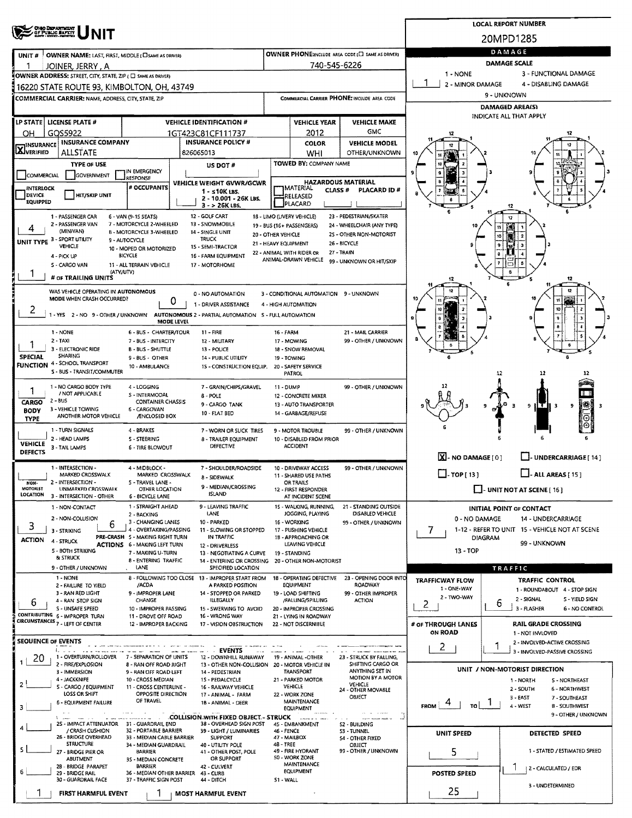|                                                                                                      |                                                                                                                   |                                                                        |                                                      |                                                    | <b>LOCAL REPORT NUMBER</b>      |                                               |                                                      |                                                      |                  |                                                                  |  |  |  |  |  |  |
|------------------------------------------------------------------------------------------------------|-------------------------------------------------------------------------------------------------------------------|------------------------------------------------------------------------|------------------------------------------------------|----------------------------------------------------|---------------------------------|-----------------------------------------------|------------------------------------------------------|------------------------------------------------------|------------------|------------------------------------------------------------------|--|--|--|--|--|--|
|                                                                                                      | <b>OHO DEPARTMENT</b><br>OF PUBLIC BAFETY                                                                         |                                                                        | 20MPD1285                                            |                                                    |                                 |                                               |                                                      |                                                      |                  |                                                                  |  |  |  |  |  |  |
| UNIT#                                                                                                | OWNER NAME: LAST, FIRST, MIDDLE (C) SAME AS DRIVERY                                                               |                                                                        |                                                      |                                                    |                                 |                                               | OWNER PHONE:INCLUDE AREA CODE (E) SAME AS DRIVER)    | DAMAGE                                               |                  |                                                                  |  |  |  |  |  |  |
|                                                                                                      | JOINER, JERRY , A                                                                                                 |                                                                        |                                                      |                                                    |                                 | 740-545-6226                                  |                                                      | <b>DAMAGE SCALE</b>                                  |                  |                                                                  |  |  |  |  |  |  |
|                                                                                                      | OWNER ADDRESS: STREET, CITY, STATE, ZIP ( C) SAME AS DRIVER)                                                      |                                                                        |                                                      |                                                    |                                 |                                               |                                                      | 1 - NONE                                             |                  | 3 - FUNCTIONAL DAMAGE                                            |  |  |  |  |  |  |
|                                                                                                      | 16220 STATE ROUTE 93, KIMBOLTON, OH, 43749                                                                        |                                                                        |                                                      |                                                    |                                 |                                               |                                                      | 2 - MINOR DAMAGE                                     |                  | 4 - DISABLING DAMAGE                                             |  |  |  |  |  |  |
|                                                                                                      | <b>COMMERCIAL CARRIER: NAME, ADDRESS, CITY, STATE, ZIP</b>                                                        |                                                                        |                                                      |                                                    |                                 |                                               | COMMERCIAL CARRIER PHONE: INCLUDE AREA CODE          | 9 - UNKNOWN<br><b>DAMAGED AREA(S)</b>                |                  |                                                                  |  |  |  |  |  |  |
|                                                                                                      |                                                                                                                   |                                                                        |                                                      |                                                    |                                 |                                               |                                                      | INDICATE ALL THAT APPLY                              |                  |                                                                  |  |  |  |  |  |  |
| OН                                                                                                   | LP STATE   LICENSE PLATE #<br>GOS5922                                                                             |                                                                        | <b>VEHICLE IDENTIFICATION #</b><br>1GT423C81CF111737 |                                                    |                                 | <b>VEHICLE YEAR</b><br>2012                   | <b>VEHICLE MAKE</b><br>GMC                           |                                                      |                  |                                                                  |  |  |  |  |  |  |
|                                                                                                      | INSURANCE INSURANCE COMPANY                                                                                       |                                                                        | <b>INSURANCE POLICY #</b>                            |                                                    |                                 | <b>COLOR</b>                                  | <b>VEHICLE MODEL</b>                                 |                                                      |                  |                                                                  |  |  |  |  |  |  |
| XIVERIFIED                                                                                           | <b>ALLSTATE</b>                                                                                                   |                                                                        | 826065013                                            |                                                    |                                 | WHI                                           | <b>OTHER/UNKNOWN</b>                                 |                                                      |                  |                                                                  |  |  |  |  |  |  |
| <b>TYPE OF USE</b><br>IN EMERGENCY                                                                   |                                                                                                                   |                                                                        |                                                      | US DOT #                                           |                                 | <b>TOWED BY: COMPANY NAME</b>                 |                                                      |                                                      |                  |                                                                  |  |  |  |  |  |  |
| COMMERCIAL                                                                                           | <b>GOVERNMENT</b>                                                                                                 | RESPONSE<br># OCCUPANTS                                                | <b>VEHICLE WEIGHT GVWR/GCWR</b>                      |                                                    |                                 | <b>HAZARDOUS MATERIAL</b>                     |                                                      |                                                      |                  |                                                                  |  |  |  |  |  |  |
| <b>INTERLOCK</b><br>DEVICE                                                                           | <b>HIT/SKIP UNIT</b>                                                                                              |                                                                        | $1 - s10K$ LBS.                                      | 2 - 10.001 - 26K LBS.                              |                                 | <b>MATERIAL</b><br><b>CLASS #</b><br>RELEASED | <b>PLACARD ID#</b>                                   |                                                      |                  |                                                                  |  |  |  |  |  |  |
| EQUIPPED                                                                                             |                                                                                                                   |                                                                        | 3 - > 26K LBS,                                       |                                                    |                                 | PLACARD                                       |                                                      |                                                      |                  | 12                                                               |  |  |  |  |  |  |
|                                                                                                      | 1 - PASSENGER CAR<br>2 - PASSENGER VAN                                                                            | 6 - VAN (9-15 SEATS)<br>7 - MOTORCYCLE 2-WHEELED                       | 12 - GOLF CART<br>13 - SNOWMOBILE                    | 18 - LIMO (LIVERY VEHICLE)                         |                                 | 19 - BUS (16+ PASSENGERS)                     | 23 - PEDESTRIAN/SKATER<br>24 - WHEELCHAIR (ANY TYPE) |                                                      |                  | 12                                                               |  |  |  |  |  |  |
| 4                                                                                                    | (MINIVAN)<br>UNIT TYPE 3 - SPORT UTILITY                                                                          | B - MOTORCYCLE 3-WHEELED                                               | 14 - SINGLE UNIT<br><b>TRUCK</b>                     | 20 - OTHER VEHICLE                                 |                                 |                                               | 25 - OTHER NON-MOTORIST                              |                                                      |                  |                                                                  |  |  |  |  |  |  |
|                                                                                                      | VEHICLE                                                                                                           | 9 - AUTOCYCLE<br>10 - MOPED OR MOTORIZED                               | 15 - SEMI-TRACTOR                                    | 21 - HEAVY EQUIPMENT                               |                                 | 22 - ANIMAL WITH RIDER OR                     | 26 - BICYCLE<br>27 - TRAIN                           |                                                      |                  |                                                                  |  |  |  |  |  |  |
|                                                                                                      | 4 - PICK UP<br>5 - CARGO VAN                                                                                      | <b>BICYCLE</b><br>11 - ALL TERRAIN VEHICLE                             | 16 - FARM EQUIPMENT<br>17 - MOTORHOME                |                                                    |                                 | ANIMAL-DRAWN VEHICLE                          | 99 - UNKNOWN OR HIT/SKIP                             |                                                      |                  |                                                                  |  |  |  |  |  |  |
|                                                                                                      | (ATV/UTV)<br># OF TRAILING UNITS                                                                                  |                                                                        |                                                      |                                                    |                                 |                                               |                                                      | 12                                                   |                  | 12                                                               |  |  |  |  |  |  |
|                                                                                                      | WAS VEHICLE OPERATING IN AUTONOMOUS                                                                               |                                                                        |                                                      |                                                    |                                 | 3 - CONDITIONAL AUTOMATION 9 - UNKNOWN        |                                                      |                                                      |                  |                                                                  |  |  |  |  |  |  |
|                                                                                                      | MODE WHEN CRASH OCCURRED?                                                                                         |                                                                        | 0 - NO AUTOMATION<br>0<br>1 - DRIVER ASSISTANCE      |                                                    |                                 | 4 - HIGH AUTOMATION                           |                                                      |                                                      |                  |                                                                  |  |  |  |  |  |  |
| 2                                                                                                    | 1 - YES 2 - NO 9 - OTHER / UNKNOWN AUTONOMOUS 2 - PARTIAL AUTOMATION 5 - FULL AUTOMATION                          |                                                                        |                                                      |                                                    |                                 |                                               |                                                      |                                                      |                  |                                                                  |  |  |  |  |  |  |
|                                                                                                      |                                                                                                                   |                                                                        | MODE LEVEL                                           |                                                    |                                 |                                               |                                                      |                                                      |                  |                                                                  |  |  |  |  |  |  |
| 1                                                                                                    | 1 - NONE<br>$2 - TAXI$                                                                                            | 6 - BUS - CHARTER/TOUR<br>7 - BUS - INTERCITY                          | $11 - FIRE$<br>12 - MILITARY                         |                                                    | <b>16 - FARM</b><br>17 - MOWING |                                               | 21 - MAIL CARRIER<br>99 - OTHER / UNKNOWN            |                                                      |                  |                                                                  |  |  |  |  |  |  |
| <b>SPECIAL</b>                                                                                       | 3 - ELECTRONIC RIDE<br><b>SHARING</b>                                                                             | <b>B-BUS-SHUTTLE</b>                                                   | 13 - POLICE                                          |                                                    |                                 | 18 - SNOW REMOVAL                             |                                                      |                                                      |                  | 6                                                                |  |  |  |  |  |  |
|                                                                                                      | <b>FUNCTION 4 - SCHOOL TRANSPORT</b>                                                                              | 9 - BUS - OTHER<br>10 - AMBULANCE                                      | 14 - PUBLIC UTILITY                                  | 15 - CONSTRUCTION EQUIP.                           | 19 - TOWING                     | 20 - SAFETY SERVICE                           |                                                      |                                                      |                  |                                                                  |  |  |  |  |  |  |
|                                                                                                      | S - BUS - TRANSIT/COMMUTER                                                                                        |                                                                        |                                                      |                                                    | PATROL                          |                                               |                                                      |                                                      | 12               | 12                                                               |  |  |  |  |  |  |
| 1                                                                                                    | 1 - NO CARGO BODY TYPE<br>4 - LOGGING<br>7 - GRAIN/CHIPS/GRAVEL<br>/ NOT APPLICABLE<br>S - INTERMODAL<br>8 - POLE |                                                                        |                                                      |                                                    |                                 | 11 - DUMP<br>12 - CONCRETE MIXER              | 99 - OTHER / UNKNOWN                                 |                                                      |                  |                                                                  |  |  |  |  |  |  |
| 2 - BUS<br>CARGO<br><b>CONTAINER CHASSIS</b><br>9 - CARGO TANK<br>3 - VEHICLE TOWING<br>6 - CARGOVAN |                                                                                                                   |                                                                        |                                                      |                                                    |                                 | 13 - AUTO TRANSPORTER                         |                                                      |                                                      |                  | ١Œ,<br>9 ILT<br>9<br>Е<br>-3<br>3                                |  |  |  |  |  |  |
| <b>BODY</b><br>10 - FLAT BED<br>ANOTHER MOTOR VEHICLE<br><b>ÆNCLOSED BOX</b><br><b>TYPE</b>          |                                                                                                                   |                                                                        |                                                      |                                                    |                                 | 14 - GARBAGE/REFUSE                           |                                                      |                                                      |                  |                                                                  |  |  |  |  |  |  |
|                                                                                                      | 1 - TURN SIGNALS                                                                                                  | 4 - BRAKES                                                             |                                                      | 7 - WORN OR SLICK TIRES                            |                                 | 9 - MOTOR TROUBLE                             | 99 - OTHER / UNKNOWN                                 |                                                      |                  |                                                                  |  |  |  |  |  |  |
| <b>VEHICLE</b>                                                                                       | 2 - HEAD LAMPS<br>3 - TAIL LAMPS                                                                                  | <b>S-STEERING</b><br><b>6 - TIRE BLOWOUT</b>                           | DEFECTIVE                                            | 8 - TRAILER EQUIPMENT                              |                                 | 10 - DISA8LED FROM PRIOR<br><b>ACCIDENT</b>   |                                                      |                                                      |                  |                                                                  |  |  |  |  |  |  |
| <b>DEFECTS</b>                                                                                       |                                                                                                                   |                                                                        |                                                      |                                                    |                                 |                                               |                                                      | X - NO DAMAGE [0]<br>J- UNDERCARRIAGE [ 14 ]         |                  |                                                                  |  |  |  |  |  |  |
|                                                                                                      | 1 - INTERSECTION -<br>MARKED CROSSWALK                                                                            | 4 - MIDBLOCK -<br>MARKED CROSSWALK                                     | <b>8 - SIDEWALK</b>                                  | 7 - SHOULDER/ROADSIDE                              |                                 | 10 - DRIVEWAY ACCESS<br>11 - SHARED USE PATHS | 99 - OTHER / UNKNOWN                                 | $\Box$ - TOP [ 13 ]<br>$\Box$ - ALL AREAS [ 15 ]     |                  |                                                                  |  |  |  |  |  |  |
| NON-<br>MOTORIST                                                                                     | 2 - INTERSECTION -<br>UNMARKED CROSSWALK                                                                          | 5 - TRAVEL LANE -<br>OTHER LOCATION                                    |                                                      | 9 - MEDIAN/CROSSING                                |                                 | <b>OR TRAILS</b><br>12 - FIRST RESPONDER      |                                                      | $\Box$ - UNIT NOT AT SCENE [ 16 ]                    |                  |                                                                  |  |  |  |  |  |  |
| LOCATION                                                                                             | 3 - INTERSECTION - OTHER                                                                                          | 6 - BICYCLE LANE                                                       | <b>ISLAND</b>                                        |                                                    |                                 | AT INCIDENT SCENE                             |                                                      |                                                      |                  |                                                                  |  |  |  |  |  |  |
|                                                                                                      | 1 - NON-CONTACT<br>2 - NON-COLLISION                                                                              | 1 - STRAIGHT AHEAD<br>2 - BACKING                                      | 9 - LEAVING TRAFFIC<br>LANE                          |                                                    |                                 | 15 - WALKING, RUNNING,<br>JOGGING, PLAYING    | 21 - STANDING OUTSIDE<br>DISABLED VEHICLE            | 0 - NO DAMAGE                                        |                  | <b>INITIAL POINT OF CONTACT</b><br>14 - UNDERCARRIAGE            |  |  |  |  |  |  |
| 3                                                                                                    | 6<br>3 - STRIKING                                                                                                 | 3 - CHANGING LANES<br>4 - OVERTAKING/PASSING                           | 10 - PARKED                                          | 11 - SLOWING OR STOPPED                            | 16 - WORKING                    | 17 - PUSHING VEHICLE                          | 99 - OTHER / UNKNOWN                                 | 7.<br>1-12 - REFER TO UNIT 15 - VEHICLE NOT AT SCENE |                  |                                                                  |  |  |  |  |  |  |
| <b>ACTION</b>                                                                                        | 4 - STRUCK                                                                                                        | PRE-CRASH 5 - MAKING RIGHT TURN<br><b>ACTIONS 6 - MAKING LEFT TURN</b> | IN TRAFFIC<br>12 - DRIVERLESS                        |                                                    |                                 | 1B - APPROACHING OR<br>LEAVING VEHICLE        |                                                      |                                                      | DIAGRAM          | 99 - UNKNOWN                                                     |  |  |  |  |  |  |
|                                                                                                      | <b>S - BOTH STRIKING</b><br>& STRUCK                                                                              | 7 - MAKING U-TURN                                                      |                                                      | 13 - NEGOTIATING A CURVE                           | 19 - STANDING                   |                                               |                                                      | $13 - TOP$                                           |                  |                                                                  |  |  |  |  |  |  |
|                                                                                                      | 9 - OTHER / UNKNOWN                                                                                               | <b>B-ENTERING TRAFFIC</b><br>LANE                                      |                                                      | 14 - ENTERING OR CROSSING<br>SPECIFIED LOCATION    |                                 | 20 - OTHER NON-MOTORIST                       |                                                      |                                                      |                  | TRAFFIC                                                          |  |  |  |  |  |  |
|                                                                                                      | 1 - NONE<br>2 - FAILURE TO YIELD                                                                                  | /ACDA                                                                  | 8 - FOLLOWING TOO CLOSE 13 - IMPROPER START FROM     | A PARKED POSITION                                  |                                 | 18 - OPERATING DEFECTIVE<br>EQUIPMENT         | 23 - OPENING DOOR INTO<br>ROADWAY                    | <b>TRAFFICWAY FLOW</b>                               |                  | <b>TRAFFIC CONTROL</b>                                           |  |  |  |  |  |  |
|                                                                                                      | 3 - RAN RED LIGHT                                                                                                 | 9 - IMPROPER LANE                                                      |                                                      | 14 - STOPPED OR PARKED                             |                                 | 19 - LOAD SHIFTING                            | 99 - OTHER IMPROPER                                  | 1 - ONE-WAY<br>2 - TWO-WAY                           |                  | 1 - ROUNDABOUT 4 - STOP SIGN<br>2 - SIGNAL<br>S - YIELD SIGN     |  |  |  |  |  |  |
| 6                                                                                                    | 4 - RAN STOP SIGN<br>S - UNSAFE SPEED                                                                             | CHANGE<br>10 - IMPROPER PASSING                                        | <b>ILLEGALLY</b>                                     | 15 - SWERVING TO AVOID                             |                                 | /FALUNG/SPILLING<br>20 - IMPROPER CROSSING    | <b>ACTION</b>                                        | 2                                                    | 6                | 3 FLASHER<br>6 - NO CONTROL                                      |  |  |  |  |  |  |
|                                                                                                      | CONTRIBUTING 6 - IMPROPER TURN<br><b>CIRCUMSTANCES 7 - LEFT OF CENTER</b>                                         | 11 - DROVE OFF ROAD<br>12 - IMPROPER BACKING                           | 16 - WRONG WAY                                       | 17 - VISION OBSTRUCTION                            |                                 | 21 - LYING IN ROADWAY<br>22 - NOT DISCERNIBLE |                                                      | # OF THROUGH LANES                                   |                  | <b>RAIL GRADE CROSSING</b>                                       |  |  |  |  |  |  |
|                                                                                                      |                                                                                                                   |                                                                        |                                                      |                                                    |                                 |                                               |                                                      | ON ROAD                                              |                  | 1 - NOT INVLOVED                                                 |  |  |  |  |  |  |
|                                                                                                      | <b>SEQUENCE OF EVENTS</b><br>1.1.1                                                                                |                                                                        |                                                      | <b>EVENTS</b>                                      |                                 |                                               |                                                      | $\overline{2}$                                       | 1                | 2 - INVOLVED-ACTIVE CROSSING<br>3 - INVOLVED-PASSIVE CROSSING    |  |  |  |  |  |  |
| 20                                                                                                   | 1 - OVERTURN/ROLLOVER 7 - SEPARATION OF UNITS<br>2 - FIRE/EXPLOSION                                               | 8 - RAN OFF ROAD RIGHT                                                 |                                                      | 12 - DOWNHILL RUNAWAY<br>13 - OTHER NON-COLLISION  |                                 | 19 - ANIMAL -OTHER<br>20 - MOTOR VEHICLE IN   | 23 - STRUCK BY FALLING,<br>SHIFTING CARGO OR         |                                                      |                  |                                                                  |  |  |  |  |  |  |
|                                                                                                      | 3 - IMMERSION<br>4 - JACKKNIFE                                                                                    | 9 - RAN OFF ROAD LEFT<br>10 - CROSS MEDIAN                             | 14 - PEDESTRIAN<br>15 - PEDALCYCLE                   |                                                    |                                 | <b>TRANSPORT</b><br>21 - PARKED MOTOR         | ANYTHING SET IN<br><b>MOTION BY A MOTOR</b>          |                                                      |                  | UNIT / NON-MOTORIST DIRECTION<br>1 - NORTH<br><b>S-NORTHEAST</b> |  |  |  |  |  |  |
| 2                                                                                                    | S - CARGO / EQUIPMENT                                                                                             | 11 - CROSS CENTERLINE -                                                | 16 - RAILWAY VEHICLE                                 |                                                    | <b>VEHICLE</b>                  |                                               | VEHICLE<br>24 - OTHER MOVABLE                        |                                                      |                  | 2 - SOUTH<br><b>6 - NORTHWEST</b>                                |  |  |  |  |  |  |
| З                                                                                                    | LOSS OR SHIFT<br><b>6 - EQUIPMENT FAILURE</b>                                                                     | <b>OPPOSITE DIRECTION</b><br>OF TRAVEL                                 | 17 - ANIMAL - FARM<br>18 - ANIMAL - DEER             |                                                    | 22 - WORK ZONE                  | MAINTENANCE                                   | OBJECT                                               | <b>FROM</b><br>TO                                    |                  | $3 - EAST$<br>7 - SOUTHEAST<br>4 - WEST<br><b>B-SOUTHWEST</b>    |  |  |  |  |  |  |
|                                                                                                      |                                                                                                                   |                                                                        | COLLISION WITH FIXED OBJECT - STRUCK                 |                                                    |                                 | <b>EQUIPMENT</b>                              | <b>All all America</b>                               |                                                      |                  | 9 - OTHER / UNKNOWN                                              |  |  |  |  |  |  |
|                                                                                                      | 25 - IMPACT ATTENUATOR<br>/ CRASH CUSHION                                                                         | 31 - GUARDRAIL END<br>32 - PORTABLE BARRIER                            |                                                      | 38 - OVERHEAD SIGN POST<br>39 - LIGHT / LUMINARIES | 46 - FENCE                      | 45 - EMBANKMENT                               | 52 - BUILDING<br>53 TUNNEL                           | <b>UNIT SPEED</b>                                    |                  | <b>DETECTED SPEED</b>                                            |  |  |  |  |  |  |
|                                                                                                      | 26 - BRIDGE OVERHEAD<br>STRUCTURE                                                                                 | 33 - MEDIAN CABLE BARRIER<br>34 - MEDIAN GUARDRAIL                     | <b>SUPPORT</b><br>40 - UTILITY POLE                  |                                                    | 47 - MAILBOX<br>48 - TREE       |                                               | 54 - OTHER FIXED<br>OBJECT                           |                                                      |                  |                                                                  |  |  |  |  |  |  |
|                                                                                                      | 27 - BRIDGE PIER OR<br>ABUTMENT                                                                                   | BARRIER<br>35 - MEDIAN CONCRETE                                        | OR SUPPORT                                           | 41 - OTHER POST, POLE                              | 50 - WORK ZONE                  | 49 - FIRE HYDRANT                             | 99 - OTHER / UNKNOWN                                 | 5<br>1 - STATED / ESTIMATED SPEED                    |                  |                                                                  |  |  |  |  |  |  |
|                                                                                                      | 28 - BRIDGE PARAPET<br>29 - BRIDGE RAIL                                                                           | <b>BARRIER</b><br>36 - MEDIAN OTHER BARRIER                            | 42 - CULVERT<br>43 - CLIRB                           |                                                    |                                 | MAINTENANCE<br><b>EQUIPMENT</b>               |                                                      | 2 - CALCULATED / EDR<br>POSTED SPEED                 |                  |                                                                  |  |  |  |  |  |  |
|                                                                                                      | 30 - GUARDRAIL FACE                                                                                               | 37 - TRAFFIC SIGN POST                                                 | 44 - DITCH                                           |                                                    | S1 - WALL                       |                                               |                                                      |                                                      | 3 - UNDETERMINED |                                                                  |  |  |  |  |  |  |
|                                                                                                      | FIRST HARMFUL EVENT                                                                                               |                                                                        | <b>MOST HARMFUL EVENT</b>                            |                                                    |                                 |                                               |                                                      | 25                                                   |                  |                                                                  |  |  |  |  |  |  |
|                                                                                                      |                                                                                                                   |                                                                        |                                                      |                                                    |                                 |                                               |                                                      |                                                      |                  |                                                                  |  |  |  |  |  |  |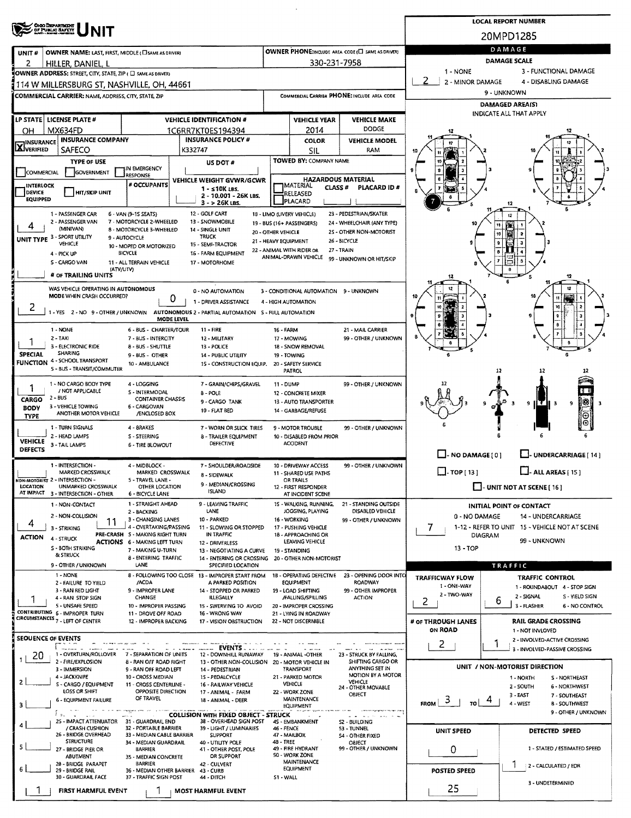|                                                                                                      | <b>ONO DEPARTMENT</b><br>OF PUBLIC SAFETY                                                                  |                                                                        | <b>LOCAL REPORT NUMBER</b> |                                                                         |                                                                       |                                               |                                                    |                                                     |                      |                                                                 |  |  |  |  |  |  |
|------------------------------------------------------------------------------------------------------|------------------------------------------------------------------------------------------------------------|------------------------------------------------------------------------|----------------------------|-------------------------------------------------------------------------|-----------------------------------------------------------------------|-----------------------------------------------|----------------------------------------------------|-----------------------------------------------------|----------------------|-----------------------------------------------------------------|--|--|--|--|--|--|
|                                                                                                      |                                                                                                            |                                                                        | 20MPD1285                  |                                                                         |                                                                       |                                               |                                                    |                                                     |                      |                                                                 |  |  |  |  |  |  |
| UNIT#                                                                                                | OWNER NAME: LAST, FIRST, MIDDLE (CI SAME AS DRIVER)                                                        |                                                                        |                            |                                                                         |                                                                       |                                               | OWNER PHONE: INCLUDE AREA CODE (E) SAME AS DRIVERS | DAMAGE                                              |                      |                                                                 |  |  |  |  |  |  |
| 2                                                                                                    | HILLER, DANIEL, L                                                                                          |                                                                        |                            |                                                                         |                                                                       | 330-231-7958                                  |                                                    | DAMAGE SCALE<br>3 - FUNCTIONAL DAMAGE<br>1 - NONE   |                      |                                                                 |  |  |  |  |  |  |
|                                                                                                      | OWNER ADDRESS: STREET, CITY, STATE, ZIP ( C) SAME AS DRIVER)                                               |                                                                        |                            |                                                                         |                                                                       |                                               |                                                    | 2<br>2 - MINOR DAMAGE                               |                      | 4 - DISABLING DAMAGE                                            |  |  |  |  |  |  |
|                                                                                                      | I 114 W MILLERSBURG ST, NASHVILLE, OH, 44661<br><b>COMMERCIAL CARRIER: NAME, ADDRESS, CITY, STATE, ZIP</b> |                                                                        |                            |                                                                         |                                                                       |                                               | COMMERCIAL CARRIER PHONE: INCLUDE AREA CODE        | 9 - UNKNOWN                                         |                      |                                                                 |  |  |  |  |  |  |
|                                                                                                      |                                                                                                            |                                                                        |                            |                                                                         |                                                                       |                                               |                                                    | <b>DAMAGED AREA(S)</b>                              |                      |                                                                 |  |  |  |  |  |  |
|                                                                                                      | LP STATE LICENSE PLATE #                                                                                   |                                                                        |                            | <b>VEHICLE IDENTIFICATION #</b>                                         |                                                                       | <b>VEHICLE YEAR</b>                           | <b>VEHICLE MAKE</b>                                | INDICATE ALL THAT APPLY                             |                      |                                                                 |  |  |  |  |  |  |
| OН                                                                                                   | MX634FD                                                                                                    |                                                                        | 1C6RR7KT0ES194394          |                                                                         | 2014                                                                  | <b>DODGE</b>                                  |                                                    |                                                     |                      |                                                                 |  |  |  |  |  |  |
| <b>IINSURANCE</b><br><b>LX</b> JVERIFIED                                                             | <b>INSURANCE COMPANY</b>                                                                                   |                                                                        |                            | <b>INSURANCE POLICY #</b><br>K332747                                    |                                                                       | <b>COLOR</b>                                  | <b>VEHICLE MODEL</b>                               |                                                     |                      |                                                                 |  |  |  |  |  |  |
|                                                                                                      | <b>SAFECO</b><br>TYPE OF USE                                                                               |                                                                        |                            | US DOT #                                                                |                                                                       | SIL<br>TOWED BY: COMPANY NAME                 | RAM                                                |                                                     |                      |                                                                 |  |  |  |  |  |  |
| COMMERCIAL                                                                                           | GOVERNMENT                                                                                                 | IN EMERGENCY<br>RESPONSE                                               |                            |                                                                         |                                                                       |                                               |                                                    |                                                     |                      |                                                                 |  |  |  |  |  |  |
| INTERLOCK                                                                                            |                                                                                                            | # OCCUPANTS                                                            |                            | VEHICLE WEIGHT GVWR/GCWR<br>$1 - 510K$ LBS.                             |                                                                       | <b>IMATERIAL</b><br>CLASS #                   | <b>HAZARDOUS MATERIAL</b><br>PLACARD ID#           |                                                     |                      |                                                                 |  |  |  |  |  |  |
| DEVICE<br><b>EQUIPPED</b>                                                                            | <b>HIT/SKIP UNIT</b>                                                                                       |                                                                        |                            | 2 - 10.001 - 26K LBS.                                                   |                                                                       | RELEASED<br><b>PLACARD</b>                    |                                                    |                                                     |                      |                                                                 |  |  |  |  |  |  |
|                                                                                                      | 1 - PASSENGER CAR                                                                                          | 6 - VAN (9-1S SEATS)                                                   |                            | $3 - 26K$ LBS.<br>12 - GOLF CART                                        |                                                                       | 18 - LIMO (LIVERY VEHICLE)                    | 23 - PEDESTRIAN/SKATER                             |                                                     |                      | 12                                                              |  |  |  |  |  |  |
| 4                                                                                                    | 2 - PASSENGER VAN<br>(MINIVAN)                                                                             | 7 - MOTORCYCLE 2-WHEELED                                               |                            | 13 - SNOWMOBILE                                                         |                                                                       | 19 - BUS (16+ PASSENGERS)                     | 24 - WHEELCHAIR (ANY TYPE)                         |                                                     |                      |                                                                 |  |  |  |  |  |  |
|                                                                                                      | UNIT TYPE 3 - SPORT UTILITY                                                                                | 8 - MOTORCYCLE 3-WHEELED<br>9 - AUTOCYCLE                              |                            | 14 - SINGLE UNIT<br><b>TRUCK</b>                                        | 20 - OTHER VEHICLE                                                    | 21 - HEAVY EQUIPMENT                          | 25 - OTHER NON-MOTORIST<br>26 - BICYCLE            |                                                     | 10                   |                                                                 |  |  |  |  |  |  |
|                                                                                                      | VEHICLE<br>4 - PICK UP                                                                                     | 10 - MOPED OR MOTORIZED<br><b>BICYCLE</b>                              |                            | 15 - SEMI-TRACTOR<br>16 - FARM EQUIPMENT                                |                                                                       | 22 - ANIMAL WITH RIDER OR                     | 27 - TRAIN                                         |                                                     |                      |                                                                 |  |  |  |  |  |  |
|                                                                                                      | S - CARGO VAN                                                                                              | 11 - ALL TERRAIN VEHICLE                                               |                            | 17 - MOTORHOME                                                          |                                                                       | ANIMAL-DRAWN VEHICLE                          | 99 - UNKNOWN OR HIT/SKIP                           |                                                     |                      |                                                                 |  |  |  |  |  |  |
|                                                                                                      | (ATV/UTV)<br># OF TRAILING UNITS                                                                           |                                                                        |                            |                                                                         |                                                                       |                                               |                                                    | 12                                                  |                      |                                                                 |  |  |  |  |  |  |
|                                                                                                      | WAS VEHICLE OPERATING IN AUTONOMOUS                                                                        |                                                                        |                            | 0 - NO AUTOMATION                                                       |                                                                       | 3 - CONDITIONAL AUTOMATION 9 - UNKNOWN        |                                                    |                                                     |                      |                                                                 |  |  |  |  |  |  |
| 2                                                                                                    | MODE WHEN CRASH OCCURRED?                                                                                  |                                                                        | 0                          | 1 - DRIVER ASSISTANCE                                                   |                                                                       | 4 - HIGH AUTOMATION                           |                                                    |                                                     |                      |                                                                 |  |  |  |  |  |  |
|                                                                                                      | 1 - YES 2 - NO 9 - OTHER / UNKNOWN                                                                         |                                                                        | <b>MODE LEVEL</b>          | AUTONOMOUS 2 - PARTIAL AUTOMATION 5 - FULL AUTOMATION                   |                                                                       |                                               |                                                    |                                                     |                      |                                                                 |  |  |  |  |  |  |
|                                                                                                      | 1 - NONE                                                                                                   | 6 - BUS - CHARTER/TOUR                                                 |                            | $11 - FIRE$                                                             | <b>16 - FARM</b>                                                      |                                               | 21 - MAIL CARRIER                                  |                                                     |                      |                                                                 |  |  |  |  |  |  |
|                                                                                                      | 2 - TAXI<br>3 - ELECTRONIC RIDE                                                                            | 7 - BUS - INTERCITY<br>8 - BUS - SHUTTLE                               |                            | 12 - MILITARY<br>13 - POLICE                                            |                                                                       | 17 - MOWING<br>18 - SNOW REMOVAL              | 99 - OTHER / UNKNOWN                               |                                                     |                      |                                                                 |  |  |  |  |  |  |
| <b>SPECIAL</b>                                                                                       | <b>SHARING</b>                                                                                             | 9 - BUS - OTHER                                                        |                            | 14 - PUBLIC UTILITY                                                     |                                                                       | 19 - TOWING                                   |                                                    |                                                     |                      |                                                                 |  |  |  |  |  |  |
|                                                                                                      | FUNCTION 4 - SCHOOL TRANSPORT<br>5 - BUS - TRANSIT/COMMUTER                                                | 10 - AMBULANCE                                                         |                            | 15 - CONSTRUCTION EQUIP.                                                |                                                                       | 20 - SAFETY SERVICE<br>PATROL                 |                                                    |                                                     | 12                   |                                                                 |  |  |  |  |  |  |
| 1 - NO CARGO BODY TYPE<br>4 - LOGGING<br>7 - GRAIN/CHIPS/GRAVEL                                      |                                                                                                            |                                                                        |                            |                                                                         |                                                                       | 11 - DUMP                                     | 99 - OTHER / UNKNOWN                               |                                                     |                      |                                                                 |  |  |  |  |  |  |
| / NOT APPLICABLE<br>5 - INTERMODAL<br>8 - POLE<br>$2 - BUS$<br><b>CONTAINER CHASSIS</b>              |                                                                                                            |                                                                        |                            |                                                                         |                                                                       | 12 - CONCRETE MIXER                           |                                                    |                                                     |                      |                                                                 |  |  |  |  |  |  |
| CARGO<br>9 - CARGO TANK<br>3 - VEHICLE TOWING<br>6 - CARGOVAN<br><b>BODY</b><br><b>10 - FLAT BED</b> |                                                                                                            |                                                                        |                            |                                                                         |                                                                       | 13 - AUTO TRANSPORTER<br>14 - GARBAGE/REFUSE  |                                                    |                                                     |                      | ₩<br>9<br>9                                                     |  |  |  |  |  |  |
| ANOTHER MOTOR VEHICLE<br>/ENCLOSED BOX<br><b>TYPE</b>                                                |                                                                                                            |                                                                        |                            |                                                                         |                                                                       |                                               |                                                    |                                                     |                      |                                                                 |  |  |  |  |  |  |
|                                                                                                      | 1 - TURN SIGNALS<br>2 - HEAD LAMPS                                                                         | 4 - BRAKES<br>S - STEERING                                             |                            | 7 - WORN OR SLICK TIRES<br>8 - TRAILER EQUIPMENT                        | 9 - MOTOR TROUBLE<br>99 - OTHER / UNKNOWN<br>10 - DISABLED FROM PRIOR |                                               |                                                    |                                                     |                      |                                                                 |  |  |  |  |  |  |
| <b>VEHICLE</b><br><b>DEFECTS</b>                                                                     | 3 - TAIL LAMPS                                                                                             | <b>6 - TIRE BLOWOUT</b>                                                |                            | DEFECTIVE                                                               |                                                                       | <b>ACCIDENT</b>                               |                                                    |                                                     |                      | U-UNDERCARRIAGE [14]                                            |  |  |  |  |  |  |
|                                                                                                      | 1 - INTERSECTION -                                                                                         | 4 - MIDBLOCK -                                                         |                            | 7 - SHOULDER/ROADSIDE                                                   |                                                                       | 10 - DRIVEWAY ACCESS                          | 99 - OTHER / UNKNOWN                               | $\Box$ - NO DAMAGE [ 0 ]                            |                      |                                                                 |  |  |  |  |  |  |
|                                                                                                      | MARKED CROSSWALK<br>non-motorist 2 - INTERSECTION -                                                        | MARKED CROSSWALK<br>5 - TRAVEL LANE -                                  |                            | 8 - SIDEWALK                                                            |                                                                       | 11 - SHARED USE PATHS<br>OR TRAILS            |                                                    | $\Box$ TOP [13]<br>$\Box$ - ALL AREAS [ 15 ]        |                      |                                                                 |  |  |  |  |  |  |
| LOCATION                                                                                             | UNMARKED CROSSWALK<br>AT IMPACT 3 - INTERSECTION - OTHER                                                   | OTHER LOCATION                                                         |                            | 9 - MEDIAN/CROSSING<br><b>ISLAND</b>                                    |                                                                       | 12 - FIRST RESPONDER                          |                                                    | $\Box$ - UNIT NOT AT SCENE [ 16 ]                   |                      |                                                                 |  |  |  |  |  |  |
|                                                                                                      | 1 - NON-CONTACT                                                                                            | <b>6 - BICYCLE LANE</b><br>1 - STRAIGHT AHEAD                          |                            | 9 - LEAVING TRAFFIC                                                     |                                                                       | AT INCIDENT SCENE<br>15 - WALKING, RUNNING,   | 21 - STANDING OUTSIDE                              | <b>INITIAL POINT OF CONTACT</b>                     |                      |                                                                 |  |  |  |  |  |  |
|                                                                                                      | 2 - NON-COLLISION                                                                                          | 2 - BACKING<br>3 - CHANGING LANES                                      |                            | LANE<br>10 - PARKED                                                     |                                                                       | JOGGING, PLAYING<br>16 - WORKING              | DISABLED VEHICLE<br>99 - OTHER / UNKNOWN           | 0 - NO DAMAGE<br>14 - UNDERCARRIAGE                 |                      |                                                                 |  |  |  |  |  |  |
| 4                                                                                                    | 11<br>3 - STRIKING                                                                                         | 4 - OVERTAKING/PASSING                                                 |                            | 11 - SLOWING OR STOPPED                                                 |                                                                       | 17 - PUSHING VEHICLE                          |                                                    | 7<br>1-12 - REFER TO UNIT 15 - VEHICLE NOT AT SCENE |                      |                                                                 |  |  |  |  |  |  |
| <b>ACTION</b>                                                                                        | 4 - STRUCK                                                                                                 | PRE-CRASH 5 - MAKING RIGHT TURN<br><b>ACTIONS 6 - MAKING LEFT TURN</b> |                            | IN TRAFFIC<br>12 - DRIVERLESS                                           |                                                                       | 18 - APPROACHING OR<br>LEAVING VEHICLE        |                                                    | <b>DIAGRAM</b><br>99 - UNKNOWN                      |                      |                                                                 |  |  |  |  |  |  |
|                                                                                                      | S - BOTH STRIKING<br>& STRUCK                                                                              | 7 - MAKING U-TURN<br><b>8 - ENTERING TRAFFIC</b>                       |                            | 13 - NEGOTIATING A CURVE<br>14 - ENTERING OR CROSSING                   |                                                                       | 19 - STANDING<br>20 - OTHER NON-MOTORIST      |                                                    | 13 - TOP                                            |                      |                                                                 |  |  |  |  |  |  |
|                                                                                                      | 9 - OTHER / UNKNOWN                                                                                        | LANE                                                                   |                            | SPECIFIED LOCATION                                                      |                                                                       |                                               |                                                    |                                                     |                      | <b>TRAFFIC</b>                                                  |  |  |  |  |  |  |
|                                                                                                      | 1 - NONE<br>2 - FAILURE TO YIELD                                                                           | /ACDA                                                                  |                            | 8 - FOLLOWING TOO CLOSE 13 - IMPROPER START FROM<br>A PARKED POSITION   |                                                                       | 18 - OPERATING DEFECTIVE<br><b>EQUIPMENT</b>  | 23 - OPENING DOOR INTO<br>ROADWAY                  | <b>TRAFFICWAY FLOW</b><br>1 - ONE-WAY               |                      | TRAFFIC CONTROL                                                 |  |  |  |  |  |  |
|                                                                                                      | 3 - RAN RED LIGHT<br>4 - RAN STOP SIGN                                                                     | 9 - IMPROPER LANE<br><b>CHANGE</b>                                     |                            | 14 - STOPPED OR PARKED<br>ILLEGALLY                                     |                                                                       | 19 - LOAD SHIFTING<br>/FALLING/SPILLING       | 99 - OTHER IMPROPER<br><b>ACTION</b>               | 2 - TWO-WAY                                         |                      | 1 - ROUNDABOUT 4 - STOP SIGN<br>2 - SIGNAL<br>S - YIELD SIGN    |  |  |  |  |  |  |
|                                                                                                      | 5 - UNSAFE SPEED<br>CONTRIBUTING 6 - IMPROPER TURN                                                         | 10 - IMPROPER PASSING                                                  |                            | 15 - SWERVING TO AVOID                                                  |                                                                       | 20 - IMPROPER CROSSING                        |                                                    | 2                                                   | ь                    | 3 - FLASHER<br>6 - NO CONTROL                                   |  |  |  |  |  |  |
|                                                                                                      | CIRCUMSTANCES 7 - LEFT OF CENTER                                                                           | 11 - DROVE OFF ROAD<br>12 - IMPROPER BACKING                           |                            | 16 - WRONG WAY<br>17 - VISION OBSTRUCTION                               |                                                                       | 21 - LYING IN ROADWAY<br>22 - NOT DISCERNIBLE |                                                    | # OF THROUGH LANES                                  |                      | <b>RAIL GRADE CROSSING</b>                                      |  |  |  |  |  |  |
|                                                                                                      | SEOUENCE OF EVENTS                                                                                         |                                                                        |                            |                                                                         |                                                                       |                                               |                                                    | ON ROAD                                             |                      | 1 - NOT INVLOVED<br>2 - INVOLVED-ACTIVE CROSSING                |  |  |  |  |  |  |
|                                                                                                      | 1  .                                                                                                       |                                                                        |                            | <b>EVENTS.</b>                                                          |                                                                       |                                               |                                                    | $\mathbf{z}$                                        |                      | 3 - INVOLVED-PASSIVE CROSSING                                   |  |  |  |  |  |  |
| 20                                                                                                   | 1 - OVERTURN/ROLLOVER 7 - SEPARATION OF UNITS<br>2 - FIRE/EXPLOSION                                        | 8 - RAN OFF ROAD RIGHT                                                 |                            | 12 - DOWNHILL RUNAWAY<br>13 - OTHER NON-COLLISION 20 - MOTOR VEHICLE IN |                                                                       | 19 - ANIMAL -OTHER                            | 23 - STRUCK BY FALLING,<br>SHIFTING CARGO OR       |                                                     |                      |                                                                 |  |  |  |  |  |  |
|                                                                                                      | 3 - IMMERSION<br>4 JACKKNIFE                                                                               | 9 - RAN OFF ROAD LEFT<br>10 - CROSS MEDIAN                             |                            | 14 - PEDESTRIAN<br>IS - PEDALCYCLE                                      |                                                                       | TRANSPORT<br>21 - PARKED MOTOR                | ANYTHING SET IN<br><b>MOTION BY A MOTOR</b>        |                                                     |                      | UNIT / NON-MOTORIST DIRECTION<br>1 - NORTH<br>S - NORTHEAST     |  |  |  |  |  |  |
| $\mathbf{z}$                                                                                         | S - CARGO / EQUIPMENT<br>LOSS OR SHIFT                                                                     | 11 - CROSS CENTERLINE -<br>OPPOSITE DIRECTION                          |                            | 16 - RAILWAY VEHICLE<br>17 - ANIMAL - FARM                              |                                                                       | VEHICLE<br>22 - WORK ZONE                     | <b>VEHICLE</b><br>24 - OTHER MOVABLE               |                                                     |                      | 2 - SOUTH<br>6 - NORTHWEST                                      |  |  |  |  |  |  |
| з                                                                                                    | 6 - EQUIPMENT FAILURE                                                                                      | OF TRAVEL                                                              |                            | 18 - ANIMAL - DEER                                                      |                                                                       | <b>MAINTENANCE</b>                            | OBJECT                                             | - 3<br>$\mathsf{rel}$<br><b>FROM</b>                |                      | $3 - EAST$<br>7 - SOUTHEAST<br>4 - WEST<br><b>8 - SOUTHWEST</b> |  |  |  |  |  |  |
|                                                                                                      | 2.5                                                                                                        |                                                                        |                            | <b>COLLISION WITH FIXED OBJECT - STRUCK</b>                             |                                                                       | <b>EQUIPMENT</b>                              | a will will be a worker with                       |                                                     |                      | 9 - OTHER / UNKNOWN                                             |  |  |  |  |  |  |
|                                                                                                      | 25 - IMPACT ATTENUATOR 31 - GUARDRAIL END<br>/ CRASH CUSHION                                               | 32 - PORTABLE BARRIER                                                  |                            | 38 - OVERHEAD SIGN POST<br>39 - LIGHT / LUMINARIES                      | 46 - FENCE                                                            | 4S - EMBANKMENT                               | S2 - BUILDING<br>53 - TUNNEL                       | UNIT SPEED                                          |                      | DETECTED SPEED                                                  |  |  |  |  |  |  |
|                                                                                                      | 26 - BRIDGE OVERHEAD<br><b>STRUCTURE</b>                                                                   | 33 - MEDIAN CABLE BARRIER<br>34 - MEDIAN GUARDRAIL                     |                            | <b>SUPPORT</b><br>40 - UTILITY POLE                                     | <b>48 - TREE</b>                                                      | 47 - MAILBOX                                  | 54 - OTHER FIXED<br>OBJECT                         |                                                     |                      |                                                                 |  |  |  |  |  |  |
| 5                                                                                                    | 27 - BRIDGE PIER OR<br>ABUTMENT                                                                            | <b>BARRIER</b><br>35 - MEDIAN CONCRETE                                 |                            | 41 - OTHER POST, POLE<br>OR SUPPORT                                     |                                                                       | 49 - FIRE HYDRANT<br>50 - WORK ZONE           | 99 - OTHER / UNKNOWN                               | 0                                                   |                      | 1 - STATED / ESTIMATED SPEED                                    |  |  |  |  |  |  |
| 6                                                                                                    | 28 - BRIDGE PARAPET<br>29 - BRIDGE RAIL                                                                    | <b>BARRIER</b><br>36 - MEDIAN OTHER BARRIER 43 - CURB                  |                            | 42 - CULVERT                                                            |                                                                       | <b>MAINTENANCE</b><br><b>EQUIPMENT</b>        |                                                    | <b>POSTED SPEED</b>                                 | 2 - CALCULATED / EDR |                                                                 |  |  |  |  |  |  |
|                                                                                                      | 30 - GUARDRAIL FACE                                                                                        | 37 - TRAFFIC SIGN POST                                                 |                            | 44 - DITCH                                                              | S1 - WALL                                                             |                                               |                                                    |                                                     |                      | 3 - UNDETERMINED                                                |  |  |  |  |  |  |
|                                                                                                      | FIRST HARMFUL EVENT                                                                                        |                                                                        |                            | <b>MOST HARMFUL EVENT</b>                                               |                                                                       |                                               |                                                    | 25                                                  |                      |                                                                 |  |  |  |  |  |  |

 $\mathcal{A}$